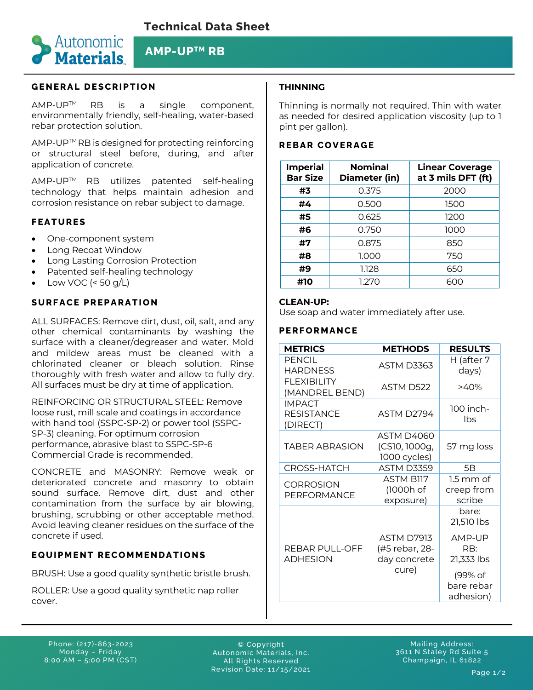

# **AMP-UPTM RB**

# **GENERAL DESCRIPTION**

AMP-UPTM RB is a single component, environmentally friendly, self-healing, water-based rebar protection solution.

AMP-UP™ RB is designed for protecting reinforcing or structural steel before, during, and after application of concrete.

AMP-UPTM RB utilizes patented self-healing technology that helps maintain adhesion and corrosion resistance on rebar subject to damage.

## **FEATURES**

- One-component system
- Long Recoat Window
- Long Lasting Corrosion Protection
- Patented self-healing technology
- Low VOC  $( $50 \text{ q/L}$ )$

## **SURFACE PREPARATION**

ALL SURFACES: Remove dirt, dust, oil, salt, and any other chemical contaminants by washing the surface with a cleaner/degreaser and water. Mold and mildew areas must be cleaned with a chlorinated cleaner or bleach solution. Rinse thoroughly with fresh water and allow to fully dry. All surfaces must be dry at time of application.

REINFORCING OR STRUCTURAL STEEL: Remove loose rust, mill scale and coatings in accordance with hand tool (SSPC-SP-2) or power tool (SSPC-SP-3) cleaning. For optimum corrosion performance, abrasive blast to SSPC-SP-6 Commercial Grade is recommended.

CONCRETE and MASONRY: Remove weak or deteriorated concrete and masonry to obtain sound surface. Remove dirt, dust and other contamination from the surface by air blowing, brushing, scrubbing or other acceptable method. Avoid leaving cleaner residues on the surface of the concrete if used.

## **EQUIPMENT RECOMMENDATIONS**

BRUSH: Use a good quality synthetic bristle brush.

ROLLER: Use a good quality synthetic nap roller cover.

# **THINNING**

Thinning is normally not required. Thin with water as needed for desired application viscosity (up to 1 pint per gallon).

#### **REBAR COVERAGE**

| <b>Imperial</b><br><b>Bar Size</b> | <b>Nominal</b><br>Diameter (in) | <b>Linear Coverage</b><br>at 3 mils DFT (ft) |
|------------------------------------|---------------------------------|----------------------------------------------|
| #3                                 | 0.375                           | 2000                                         |
| #4                                 | 0.500                           | 1500                                         |
| #5                                 | 0.625                           | 1200                                         |
| #6                                 | 0.750                           | 1000                                         |
| #7                                 | 0.875                           | 850                                          |
| #8                                 | 1.000                           | 750                                          |
| #9                                 | 1.128                           | 650                                          |
| #10                                | 1.270                           | 600                                          |

#### **CLEAN-UP:**

Use soap and water immediately after use.

### **PERFORMANCE**

| <b>METRICS</b>                                 | <b>METHODS</b>                                      | <b>RESULTS</b>                      |
|------------------------------------------------|-----------------------------------------------------|-------------------------------------|
| <b>PFNCIL</b><br><b>HARDNESS</b>               | <b>ASTM D3363</b>                                   | H (after 7<br>days)                 |
| FI FXIBILITY<br>(MANDREL BEND)                 | ASTM D522                                           | $>40\%$                             |
| <b>IMPACT</b><br><b>RESISTANCE</b><br>(DIRECT) | ASTM D2794                                          | 100 inch-<br>Ibs                    |
| <b>TABER ABRASION</b>                          | <b>ASTM D4060</b><br>(CS10, 1000g,<br>1000 cycles)  | 57 mg loss                          |
| CROSS-HATCH                                    | ASTM D3359                                          | 5B                                  |
| <b>CORROSION</b><br>PERFORMANCE                | <b>ASTM B117</b><br>(1000h of<br>exposure)          | $1.5$ mm of<br>creep from<br>scribe |
|                                                |                                                     | bare:<br>21,510 lbs                 |
| REBAR PULL-OFF<br><b>ADHESION</b>              | <b>ASTM D7913</b><br>(#5 rebar, 28-<br>day concrete | AMP-UP<br>RB:<br>21,333 lbs         |
|                                                | cure)                                               | (99% of<br>bare rebar<br>adhesion)  |

Phone: (217)-863-2023 Monday – Friday 8:00 AM – 5:00 PM (CST)

© Copyright Autonomic Materials, Inc. All Rights Reserved Revision Date: 11/15/2021

Mailing Address: 3611 N Staley Rd Suite 5 Champaign, IL 61822